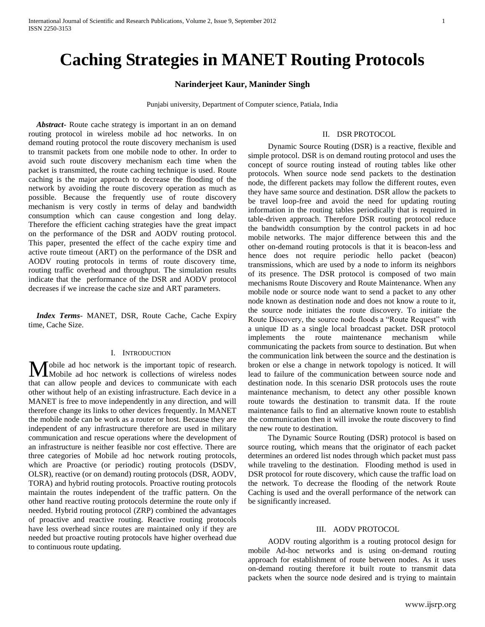# **Caching Strategies in MANET Routing Protocols**

# **Narinderjeet Kaur, Maninder Singh**

Punjabi university, Department of Computer science, Patiala, India

 *Abstract***-** Route cache strategy is important in an on demand routing protocol in wireless mobile ad hoc networks. In on demand routing protocol the route discovery mechanism is used to transmit packets from one mobile node to other. In order to avoid such route discovery mechanism each time when the packet is transmitted, the route caching technique is used. Route caching is the major approach to decrease the flooding of the network by avoiding the route discovery operation as much as possible. Because the frequently use of route discovery mechanism is very costly in terms of delay and bandwidth consumption which can cause congestion and long delay. Therefore the efficient caching strategies have the great impact on the performance of the DSR and AODV routing protocol. This paper, presented the effect of the cache expiry time and active route timeout (ART) on the performance of the DSR and AODV routing protocols in terms of route discovery time, routing traffic overhead and throughput. The simulation results indicate that the performance of the DSR and AODV protocol decreases if we increase the cache size and ART parameters.

 *Index Terms*- MANET, DSR, Route Cache, Cache Expiry time, Cache Size.

#### I. INTRODUCTION

obile ad hoc network is the important topic of research. Mobile ad hoc network is the important topic of research.<br>Mobile ad hoc network is collections of wireless nodes that can allow people and devices to communicate with each other without help of an existing infrastructure. Each device in a MANET is free to move independently in any direction, and will therefore change its links to other devices frequently. In MANET the mobile node can be work as a router or host. Because they are independent of any infrastructure therefore are used in military communication and rescue operations where the development of an infrastructure is neither feasible nor cost effective. There are three categories of Mobile ad hoc network routing protocols, which are Proactive (or periodic) routing protocols (DSDV, OLSR), reactive (or on demand) routing protocols (DSR, AODV, TORA) and hybrid routing protocols. Proactive routing protocols maintain the routes independent of the traffic pattern. On the other hand reactive routing protocols determine the route only if needed. Hybrid routing protocol (ZRP) combined the advantages of proactive and reactive routing. Reactive routing protocols have less overhead since routes are maintained only if they are needed but proactive routing protocols have higher overhead due to continuous route updating.

# II. DSR PROTOCOL

 Dynamic Source Routing (DSR) is a reactive, flexible and simple protocol. DSR is on demand routing protocol and uses the concept of source routing instead of routing tables like other protocols. When source node send packets to the destination node, the different packets may follow the different routes, even they have same source and destination. DSR allow the packets to be travel loop-free and avoid the need for updating routing information in the routing tables periodically that is required in table-driven approach. Therefore DSR routing protocol reduce the bandwidth consumption by the control packets in ad hoc mobile networks. The major difference between this and the other on-demand routing protocols is that it is beacon-less and hence does not require periodic hello packet (beacon) transmissions, which are used by a node to inform its neighbors of its presence. The DSR protocol is composed of two main mechanisms Route Discovery and Route Maintenance. When any mobile node or source node want to send a packet to any other node known as destination node and does not know a route to it, the source node initiates the route discovery. To initiate the Route Discovery, the source node floods a "Route Request" with a unique ID as a single local broadcast packet. DSR protocol implements the route maintenance mechanism while communicating the packets from source to destination. But when the communication link between the source and the destination is broken or else a change in network topology is noticed. It will lead to failure of the communication between source node and destination node. In this scenario DSR protocols uses the route maintenance mechanism, to detect any other possible known route towards the destination to transmit data. If the route maintenance fails to find an alternative known route to establish the communication then it will invoke the route discovery to find the new route to destination.

 The Dynamic Source Routing (DSR) protocol is based on source routing, which means that the originator of each packet determines an ordered list nodes through which packet must pass while traveling to the destination. Flooding method is used in DSR protocol for route discovery, which cause the traffic load on the network. To decrease the flooding of the network Route Caching is used and the overall performance of the network can be significantly increased.

#### III. AODV PROTOCOL

 AODV routing algorithm is a routing protocol design for mobile Ad-hoc networks and is using on-demand routing approach for establishment of route between nodes. As it uses on-demand routing therefore it built route to transmit data packets when the source node desired and is trying to maintain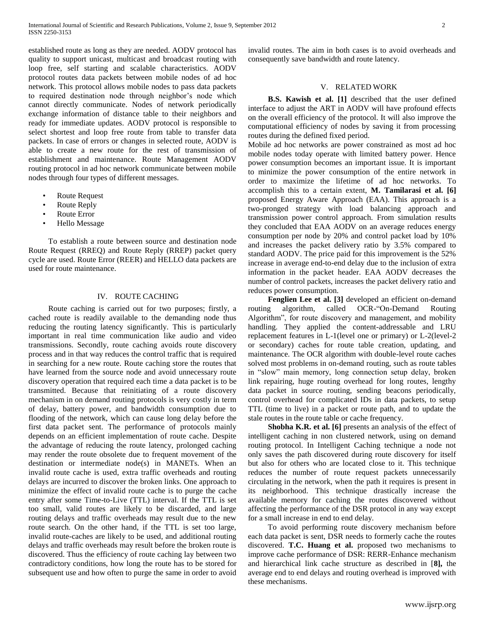established route as long as they are needed. AODV protocol has quality to support unicast, multicast and broadcast routing with loop free, self starting and scalable characteristics. AODV protocol routes data packets between mobile nodes of ad hoc network. This protocol allows mobile nodes to pass data packets to required destination node through neighbor's node which cannot directly communicate. Nodes of network periodically exchange information of distance table to their neighbors and ready for immediate updates. AODV protocol is responsible to select shortest and loop free route from table to transfer data packets. In case of errors or changes in selected route, AODV is able to create a new route for the rest of transmission of establishment and maintenance. Route Management AODV routing protocol in ad hoc network communicate between mobile nodes through four types of different messages.

- Route Request
- Route Reply
- Route Error
- Hello Message

 To establish a route between source and destination node Route Request (RREQ) and Route Reply (RREP) packet query cycle are used. Route Error (REER) and HELLO data packets are used for route maintenance.

#### IV. ROUTE CACHING

 Route caching is carried out for two purposes; firstly, a cached route is readily available to the demanding node thus reducing the routing latency significantly. This is particularly important in real time communication like audio and video transmissions. Secondly, route caching avoids route discovery process and in that way reduces the control traffic that is required in searching for a new route. Route caching store the routes that have learned from the source node and avoid unnecessary route discovery operation that required each time a data packet is to be transmitted. Because that reinitiating of a route discovery mechanism in on demand routing protocols is very costly in term of delay, battery power, and bandwidth consumption due to flooding of the network, which can cause long delay before the first data packet sent. The performance of protocols mainly depends on an efficient implementation of route cache. Despite the advantage of reducing the route latency, prolonged caching may render the route obsolete due to frequent movement of the destination or intermediate node(s) in MANETs. When an invalid route cache is used, extra traffic overheads and routing delays are incurred to discover the broken links. One approach to minimize the effect of invalid route cache is to purge the cache entry after some Time-to-Live (TTL) interval. If the TTL is set too small, valid routes are likely to be discarded, and large routing delays and traffic overheads may result due to the new route search. On the other hand, if the TTL is set too large, invalid route-caches are likely to be used, and additional routing delays and traffic overheads may result before the broken route is discovered. Thus the efficiency of route caching lay between two contradictory conditions, how long the route has to be stored for subsequent use and how often to purge the same in order to avoid

invalid routes. The aim in both cases is to avoid overheads and consequently save bandwidth and route latency.

# V. RELATED WORK

 **B.S. Kawish et al. [1]** described that the user defined interface to adjust the ART in AODV will have profound effects on the overall efficiency of the protocol. It will also improve the computational efficiency of nodes by saving it from processing routes during the defined fixed period.

Mobile ad hoc networks are power constrained as most ad hoc mobile nodes today operate with limited battery power. Hence power consumption becomes an important issue. It is important to minimize the power consumption of the entire network in order to maximize the lifetime of ad hoc networks. To accomplish this to a certain extent, **M. Tamilarasi et al. [6]** proposed Energy Aware Approach (EAA). This approach is a two-pronged strategy with load balancing approach and transmission power control approach. From simulation results they concluded that EAA AODV on an average reduces energy consumption per node by 20% and control packet load by 10% and increases the packet delivery ratio by 3.5% compared to standard AODV. The price paid for this improvement is the 52% increase in average end-to-end delay due to the inclusion of extra information in the packet header. EAA AODV decreases the number of control packets, increases the packet delivery ratio and reduces power consumption.

Fenglien Lee et al. [3] developed an efficient on-demand routing algorithm, called OCR-"On-Demand Routing Algorithm", for route discovery and management, and mobility handling. They applied the content-addressable and LRU replacement features in L-1(level one or primary) or L-2(level-2 or secondary) caches for route table creation, updating, and maintenance. The OCR algorithm with double-level route caches solved most problems in on-demand routing, such as route tables in "slow" main memory, long connection setup delay, broken link repairing, huge routing overhead for long routes, lengthy data packet in source routing, sending beacons periodically, control overhead for complicated IDs in data packets, to setup TTL (time to live) in a packet or route path, and to update the stale routes in the route table or cache frequency.

 **Shobha K.R. et al. [6]** presents an analysis of the effect of intelligent caching in non clustered network, using on demand routing protocol. In Intelligent Caching technique a node not only saves the path discovered during route discovery for itself but also for others who are located close to it. This technique reduces the number of route request packets unnecessarily circulating in the network, when the path it requires is present in its neighborhood. This technique drastically increase the available memory for caching the routes discovered without affecting the performance of the DSR protocol in any way except for a small increase in end to end delay.

 To avoid performing route discovery mechanism before each data packet is sent, DSR needs to formerly cache the routes discovered. **T.C. Huang et al.** proposed two mechanisms to improve cache performance of DSR: RERR-Enhance mechanism and hierarchical link cache structure as described in [**8],** the average end to end delays and routing overhead is improved with these mechanisms.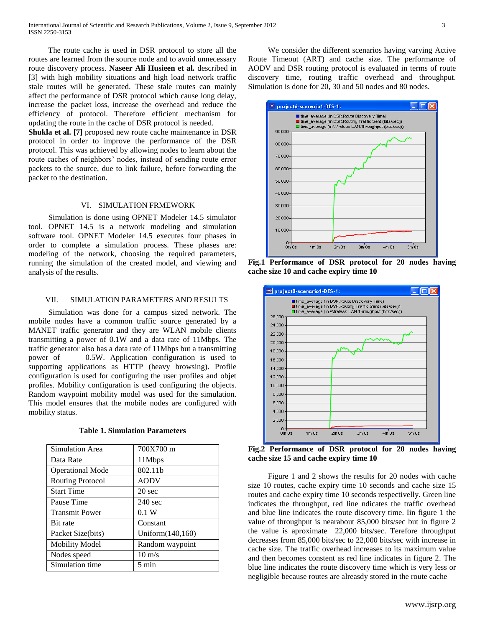The route cache is used in DSR protocol to store all the routes are learned from the source node and to avoid unnecessary route discovery process. **Naseer Ali Husieen et al.** described in [3] with high mobility situations and high load network traffic stale routes will be generated. These stale routes can mainly affect the performance of DSR protocol which cause long delay, increase the packet loss, increase the overhead and reduce the efficiency of protocol. Therefore efficient mechanism for updating the route in the cache of DSR protocol is needed.

**Shukla et al. [7]** proposed new route cache maintenance in DSR protocol in order to improve the performance of the DSR protocol. This was achieved by allowing nodes to learn about the route caches of neighbors' nodes, instead of sending route error packets to the source, due to link failure, before forwarding the packet to the destination.

## VI. SIMULATION FRMEWORK

 Simulation is done using OPNET Modeler 14.5 simulator tool. OPNET 14.5 is a network modeling and simulation software tool. OPNET Modeler 14.5 executes four phases in order to complete a simulation process. These phases are: modeling of the network, choosing the required parameters, running the simulation of the created model, and viewing and analysis of the results.

### VII. SIMULATION PARAMETERS AND RESULTS

 Simulation was done for a campus sized network. The mobile nodes have a common traffic source generated by a MANET traffic generator and they are WLAN mobile clients transmitting a power of 0.1W and a data rate of 11Mbps. The traffic generator also has a data rate of 11Mbps but a transmitting power of 0.5W. Application configuration is used to supporting applications as HTTP (heavy browsing). Profile configuration is used for configuring the user profiles and objet profiles. Mobility configuration is used configuring the objects. Random waypoint mobility model was used for the simulation. This model ensures that the mobile nodes are configured with mobility status.

| Simulation Area         | 700X700 m         |
|-------------------------|-------------------|
| Data Rate               | 11Mbps            |
| <b>Operational Mode</b> | 802.11b           |
| <b>Routing Protocol</b> | <b>AODV</b>       |
| <b>Start Time</b>       | 20 sec            |
| Pause Time              | $240 \text{ sec}$ |
| <b>Transmit Power</b>   | 0.1 W             |
| Bit rate                | Constant          |
| Packet Size(bits)       | Uniform(140,160)  |
| <b>Mobility Model</b>   | Random waypoint   |
| Nodes speed             | $10 \text{ m/s}$  |
| Simulation time         | 5 min             |

 We consider the different scenarios having varying Active Route Timeout (ART) and cache size. The performance of AODV and DSR routing protocol is evaluated in terms of route discovery time, routing traffic overhead and throughput. Simulation is done for 20, 30 and 50 nodes and 80 nodes.



**Fig.1 Performance of DSR protocol for 20 nodes having cache size 10 and cache expiry time 10**



**Fig.2 Performance of DSR protocol for 20 nodes having cache size 15 and cache expiry time 10**

 Figure 1 and 2 shows the results for 20 nodes with cache size 10 routes, cache expiry time 10 seconds and cache size 15 routes and cache expiry time 10 seconds respectivelly. Green line indicates the throughput, red line ndicates the traffic overhead and blue line indicates the route discovery time. Iin figure 1 the value of throughput is nearabout 85,000 bits/sec but in figure 2 the value is aproximate 22,000 bits/sec. Terefore throughput decreases from 85,000 bits/sec to 22,000 bits/sec with increase in cache size. The traffic overhead increases to its maximum value and then becomes constent as red line indicates in figure 2. The blue line indicates the route discovery time which is very less or negligible because routes are alreasdy stored in the route cache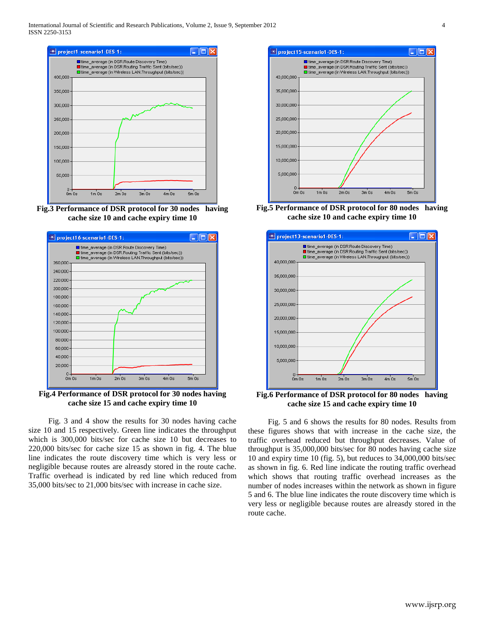

**Fig.3 Performance of DSR protocol for 30 nodes having cache size 10 and cache expiry time 10**



**Fig.4 Performance of DSR protocol for 30 nodes having cache size 15 and cache expiry time 10**

 Fig. 3 and 4 show the results for 30 nodes having cache size 10 and 15 respectively. Green line indicates the throughput which is 300,000 bits/sec for cache size 10 but decreases to 220,000 bits/sec for cache size 15 as shown in fig. 4. The blue line indicates the route discovery time which is very less or negligible because routes are alreasdy stored in the route cache. Traffic overhead is indicated by red line which reduced from 35,000 bits/sec to 21,000 bits/sec with increase in cache size.



**Fig.5 Performance of DSR protocol for 80 nodes having cache size 10 and cache expiry time 10**



**Fig.6 Performance of DSR protocol for 80 nodes having cache size 15 and cache expiry time 10**

 Fig. 5 and 6 shows the results for 80 nodes. Results from these figures shows that with increase in the cache size, the traffic overhead reduced but throughput decreases. Value of throughput is 35,000,000 bits/sec for 80 nodes having cache size 10 and expiry time 10 (fig. 5), but reduces to 34,000,000 bits/sec as shown in fig. 6. Red line indicate the routing traffic overhead which shows that routing traffic overhead increases as the number of nodes increases within the network as shown in figure 5 and 6. The blue line indicates the route discovery time which is very less or negligible because routes are alreasdy stored in the route cache.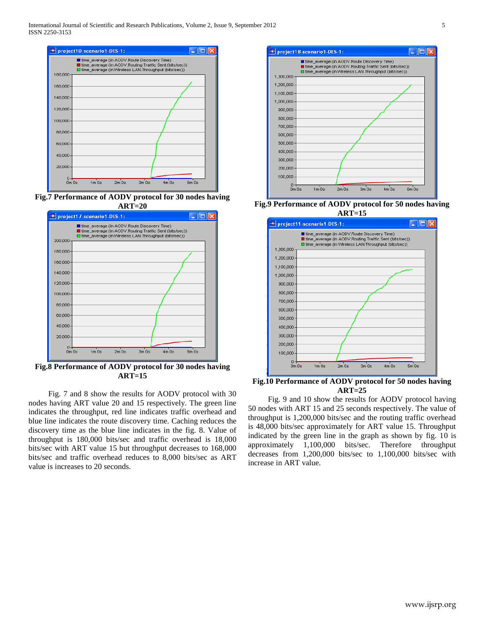

**Fig.7 Performance of AODV protocol for 30 nodes having ART=20**



**Fig.8 Performance of AODV protocol for 30 nodes having ART=15**

 Fig. 7 and 8 show the results for AODV protocol with 30 nodes having ART value 20 and 15 respectively. The green line indicates the throughput, red line indicates traffic overhead and blue line indicates the route discovery time. Caching reduces the discovery time as the blue line indicates in the fig. 8. Value of throughput is 180,000 bits/sec and traffic overhead is 18,000 bits/sec with ART value 15 but throughput decreases to 168,000 bits/sec and traffic overhead reduces to 8,000 bits/sec as ART value is increases to 20 seconds.



**Fig.9 Performance of AODV protocol for 50 nodes having ART=15**



**Fig.10 Performance of AODV protocol for 50 nodes having ART=25**

 Fig. 9 and 10 show the results for AODV protocol having 50 nodes with ART 15 and 25 seconds respectively. The value of throughput is 1,200,000 bits/sec and the routing traffic overhead is 48,000 bits/sec approximately for ART value 15. Throughput indicated by the green line in the graph as shown by fig. 10 is approximately 1,100,000 bits/sec. Therefore throughput decreases from 1,200,000 bits/sec to 1,100,000 bits/sec with increase in ART value.